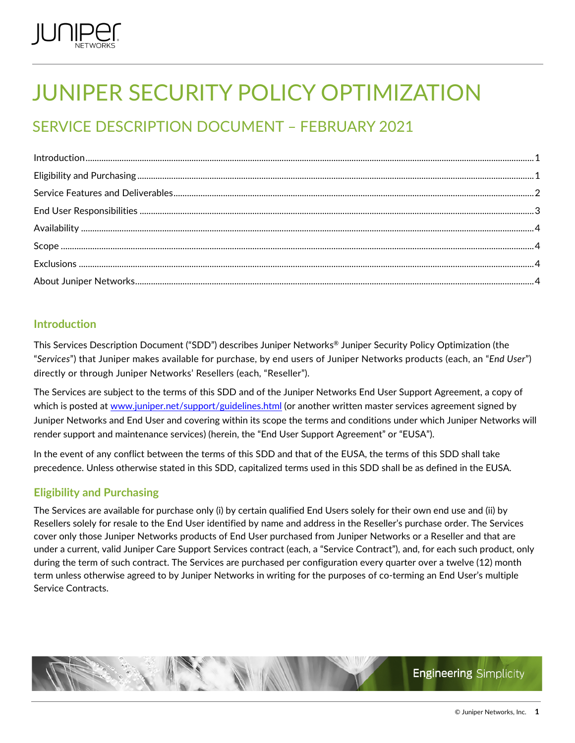

# JUNIPER SECURITY POLICY OPTIMIZATION

# SERVICE DESCRIPTION DOCUMENT – FEBRUARY 2021

| $\int_0^1\frac{1}{2} \int_0^1 \frac{1}{2} \int_0^1 \frac{1}{2} \int_0^1 \frac{1}{2} \int_0^1 \frac{1}{2} \int_0^1 \frac{1}{2} \int_0^1 \frac{1}{2} \int_0^1 \frac{1}{2} \int_0^1 \frac{1}{2} \int_0^1 \frac{1}{2} \int_0^1 \frac{1}{2} \int_0^1 \frac{1}{2} \int_0^1 \frac{1}{2} \int_0^1 \frac{1}{2} \int_0^1 \frac{1}{2} \int_0^1 \frac{1}{2} \int_0^1 \frac{1}{2$ |  |
|----------------------------------------------------------------------------------------------------------------------------------------------------------------------------------------------------------------------------------------------------------------------------------------------------------------------------------------------------------------------|--|
|                                                                                                                                                                                                                                                                                                                                                                      |  |
|                                                                                                                                                                                                                                                                                                                                                                      |  |
|                                                                                                                                                                                                                                                                                                                                                                      |  |
|                                                                                                                                                                                                                                                                                                                                                                      |  |
|                                                                                                                                                                                                                                                                                                                                                                      |  |
|                                                                                                                                                                                                                                                                                                                                                                      |  |
|                                                                                                                                                                                                                                                                                                                                                                      |  |

# <span id="page-0-0"></span>**Introduction**

This Services Description Document ("SDD") describes Juniper Networks® Juniper Security Policy Optimization (the "*Services*") that Juniper makes available for purchase, by end users of Juniper Networks products (each, an "*End User*") directly or through Juniper Networks' Resellers (each, "Reseller").

The Services are subject to the terms of this SDD and of the Juniper Networks End User Support Agreement, a copy of which is posted at [www.juniper.net/support/guidelines.html](http://www.juniper.net/support/guidelines.html) (or another written master services agreement signed by Juniper Networks and End User and covering within its scope the terms and conditions under which Juniper Networks will render support and maintenance services) (herein, the "End User Support Agreement" or "EUSA").

In the event of any conflict between the terms of this SDD and that of the EUSA, the terms of this SDD shall take precedence. Unless otherwise stated in this SDD, capitalized terms used in this SDD shall be as defined in the EUSA.

# <span id="page-0-1"></span>**Eligibility and Purchasing**

The Services are available for purchase only (i) by certain qualified End Users solely for their own end use and (ii) by Resellers solely for resale to the End User identified by name and address in the Reseller's purchase order. The Services cover only those Juniper Networks products of End User purchased from Juniper Networks or a Reseller and that are under a current, valid Juniper Care Support Services contract (each, a "Service Contract"), and, for each such product, only during the term of such contract. The Services are purchased per configuration every quarter over a twelve (12) month term unless otherwise agreed to by Juniper Networks in writing for the purposes of co-terming an End User's multiple Service Contracts.

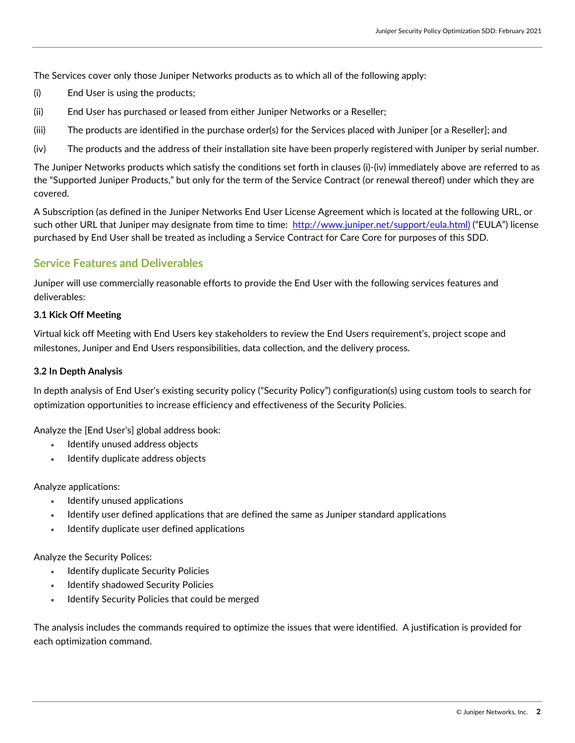The Services cover only those Juniper Networks products as to which all of the following apply:

- (i) End User is using the products;
- (ii) End User has purchased or leased from either Juniper Networks or a Reseller;
- (iii) The products are identified in the purchase order(s) for the Services placed with Juniper [or a Reseller]; and
- (iv) The products and the address of their installation site have been properly registered with Juniper by serial number.

The Juniper Networks products which satisfy the conditions set forth in clauses (i)-(iv) immediately above are referred to as the "Supported Juniper Products," but only for the term of the Service Contract (or renewal thereof) under which they are covered.

A Subscription (as defined in the Juniper Networks End User License Agreement which is located at the following URL, or such other URL that Juniper may designate from time to time: [http://www.juniper.net/support/eula.html\)](http://www.juniper.net/support/eula.html) ("EULA") license purchased by End User shall be treated as including a Service Contract for Care Core for purposes of this SDD.

# <span id="page-1-0"></span>**Service Features and Deliverables**

Juniper will use commercially reasonable efforts to provide the End User with the following services features and deliverables:

#### **3.1 Kick Off Meeting**

Virtual kick off Meeting with End Users key stakeholders to review the End Users requirement's, project scope and milestones, Juniper and End Users responsibilities, data collection, and the delivery process.

#### **3.2 In Depth Analysis**

In depth analysis of End User's existing security policy ("Security Policy") configuration(s) using custom tools to search for optimization opportunities to increase efficiency and effectiveness of the Security Policies.

Analyze the [End User's] global address book:

- Identify unused address objects
- Identify duplicate address objects

Analyze applications:

- Identify unused applications
- Identify user defined applications that are defined the same as Juniper standard applications
- Identify duplicate user defined applications

Analyze the Security Polices:

- Identify duplicate Security Policies
- Identify shadowed Security Policies
- Identify Security Policies that could be merged

The analysis includes the commands required to optimize the issues that were identified. A justification is provided for each optimization command.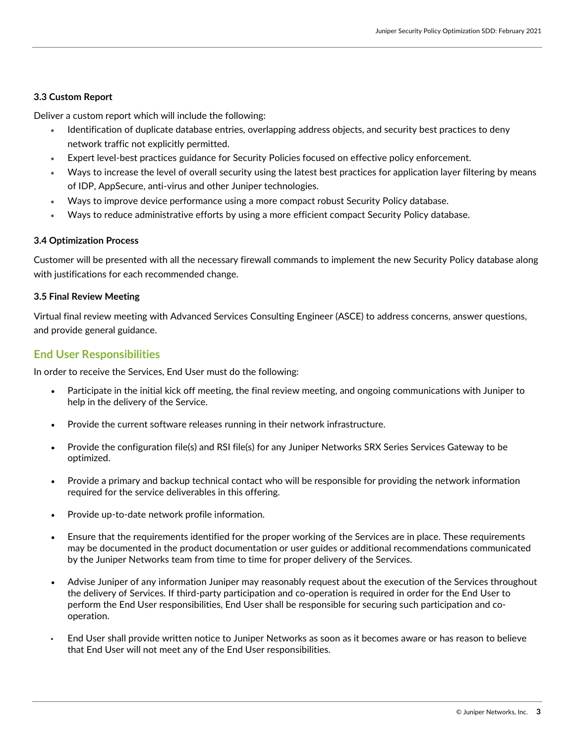#### **3.3 Custom Report**

Deliver a custom report which will include the following:

- Identification of duplicate database entries, overlapping address objects, and security best practices to deny network traffic not explicitly permitted.
- Expert level-best practices guidance for Security Policies focused on effective policy enforcement.
- Ways to increase the level of overall security using the latest best practices for application layer filtering by means of IDP, AppSecure, anti-virus and other Juniper technologies.
- Ways to improve device performance using a more compact robust Security Policy database.
- Ways to reduce administrative efforts by using a more efficient compact Security Policy database.

#### **3.4 Optimization Process**

Customer will be presented with all the necessary firewall commands to implement the new Security Policy database along with justifications for each recommended change.

#### **3.5 Final Review Meeting**

Virtual final review meeting with Advanced Services Consulting Engineer (ASCE) to address concerns, answer questions, and provide general guidance.

#### <span id="page-2-0"></span>**End User Responsibilities**

In order to receive the Services, End User must do the following:

- Participate in the initial kick off meeting, the final review meeting, and ongoing communications with Juniper to help in the delivery of the Service.
- Provide the current software releases running in their network infrastructure.
- Provide the configuration file(s) and RSI file(s) for any Juniper Networks SRX Series Services Gateway to be optimized.
- Provide a primary and backup technical contact who will be responsible for providing the network information required for the service deliverables in this offering.
- Provide up-to-date network profile information.
- Ensure that the requirements identified for the proper working of the Services are in place. These requirements may be documented in the product documentation or user guides or additional recommendations communicated by the Juniper Networks team from time to time for proper delivery of the Services.
- Advise Juniper of any information Juniper may reasonably request about the execution of the Services throughout the delivery of Services. If third-party participation and co-operation is required in order for the End User to perform the End User responsibilities, End User shall be responsible for securing such participation and cooperation.
- End User shall provide written notice to Juniper Networks as soon as it becomes aware or has reason to believe that End User will not meet any of the End User responsibilities.